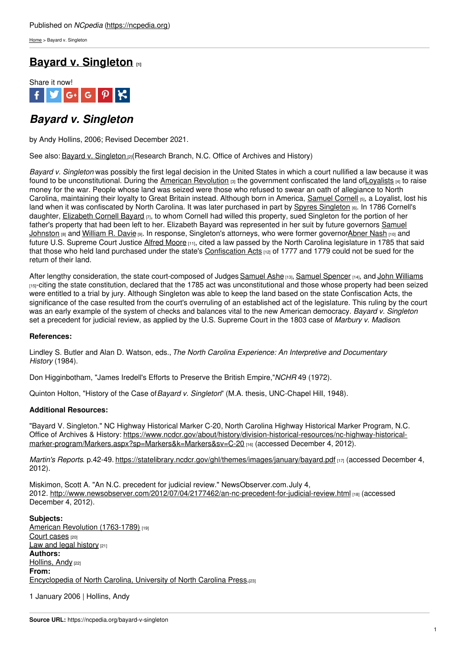[Home](https://ncpedia.org/) > Bayard v. Singleton

# **Bayard v. [Singleton](https://ncpedia.org/bayard-v-singleton) [1]**



## *Bayard v. Singleton*

by Andy Hollins, 2006; Revised December 2021.

See also: Bayard v. [Singleton](https://ncpedia.org/bayard-v-singleton-0) [2] (Research Branch, N.C. Office of Archives and History)

*Bayard v. Singleton* was possibly the first legal decision in the United States in which a court nullified a law because it was found to be unconstitutional. During the American [Revolution](https://ncpedia.org/american-revolution) [3] the government confiscated the land of Loyalists [4] to raise money for the war. People whose land was seized were those who refused to swear an oath of allegiance to North Carolina, maintaining their loyalty to Great Britain instead. Although born in America, [Samuel](https://ncpedia.org/biography/cornell-samuel) Cornell [5], a Loyalist, lost his land when it was confiscated by North [Carolina.](http://www.social9.com) It was later purchased in part by Spyres [Singleton](https://ncpedia.org/biography/singleton-spyers) [6]. In 1786 Cornell's daughter, [Elizabeth](https://ncpedia.org/biography/bayard-elizabeth) Cornell Bayard [7], to whom Cornell had willed this property, sued Singleton for the portion of her father's property that had been left to her. Elizabeth Bayard was represented in her suit by future governors Samuel Johnston [8] and [William](https://www.ncpedia.org/biography/davie-william-richardson) R. Davie [9]. In response, Singleton's attorneys, who were former [governorAbner](https://www.ncpedia.org/biography/johnston-samuel) Nash [10] and future U.S. Supreme Court Justice Alfred [Moore](https://www.ncpedia.org/biography/moore-alfred) [11], cited a law passed by the North Carolina legislature in 1785 that said that those who held land purchased under the state's [Confiscation](https://ncpedia.org/confiscation-acts) Acts [12] of 1777 and 1779 could not be sued for the return of their land.

After lengthy consideration, the state court-composed of Judges [Samuel](https://ncpedia.org/ashe-samuel) Ashe [13], Samuel [Spencer](https://ncpedia.org/biography/spencer-samuel) [14], and John [Williams](https://ncpedia.org/biography/williams-john) [15]-citing the state constitution, declared that the 1785 act was unconstitutional and those whose property had been seized were entitled to a trial by jury. Although Singleton was able to keep the land based on the state Confiscation Acts, the significance of the case resulted from the court's overruling of an established act of the legislature. This ruling by the court was an early example of the system of checks and balances vital to the new American democracy. *Bayard v. Singleton* set a precedent for judicial review, as applied by the U.S. Supreme Court in the 1803 case of *Marbury v. Madison*.

### **References:**

Lindley S. Butler and Alan D. Watson, eds., *The North Carolina Experience: An Interpretive and Documentary History* (1984).

Don Higginbotham, "James Iredell's Efforts to Preserve the British Empire,"*NCHR* 49 (1972).

Quinton Holton, "History of the Case of*Bayard v. Singleton*" (M.A. thesis, UNC-Chapel Hill, 1948).

### **Additional Resources:**

"Bayard V. Singleton." NC Highway Historical Marker C-20, North Carolina Highway Historical Marker Program, N.C. Office of Archives & History: [https://www.ncdcr.gov/about/history/division-historical-resources/nc-highway-historical](https://www.ncdcr.gov/about/history/division-historical-resources/nc-highway-historical-marker-program/Markers.aspx?sp=Markers&k=Markers&sv=C-20)marker-program/Markers.aspx?sp=Markers&k=Markers&sv=C-20 [16] (accessed December 4, 2012).

*Martin's Reports.* p.42-49. <https://statelibrary.ncdcr.gov/ghl/themes/images/january/bayard.pdf> [17] (accessed December 4, 2012).

Miskimon, Scott A. "An N.C. precedent for judicial review." NewsObserver.com.July 4, 2012. <http://www.newsobserver.com/2012/07/04/2177462/an-nc-precedent-for-judicial-review.html> [18] (accessed December 4, 2012).

**Subjects:** American Revolution [\(1763-1789\)](https://ncpedia.org/category/subjects/us-revolution) [19] Court [cases](https://ncpedia.org/category/subjects/court-cases) [20] Law and legal [history](https://ncpedia.org/category/subjects/laws) [21] **Authors:** [Hollins,](https://ncpedia.org/category/authors/hollins-andy) Andy [22] **From:** [Encyclopedia](https://ncpedia.org/category/entry-source/encyclopedia-) of North Carolina, University of North Carolina Press.[23]

1 January 2006 | Hollins, Andy